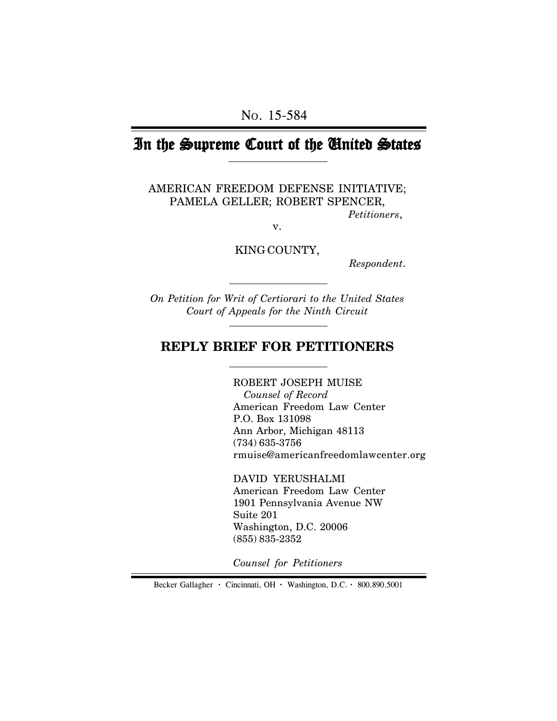# In the Supreme Court of the United States

AMERICAN FREEDOM DEFENSE INITIATIVE; PAMELA GELLER; ROBERT SPENCER, *Petitioners*,

v.

KING COUNTY,

*Respondent*.

*On Petition for Writ of Certiorari to the United States Court of Appeals for the Ninth Circuit*

# **REPLY BRIEF FOR PETITIONERS**

ROBERT JOSEPH MUISE  *Counsel of Record* American Freedom Law Center P.O. Box 131098 Ann Arbor, Michigan 48113 (734) 635-3756 rmuise@americanfreedomlawcenter.org

DAVID YERUSHALMI American Freedom Law Center 1901 Pennsylvania Avenue NW Suite 201 Washington, D.C. 20006 (855) 835-2352

*Counsel for Petitioners*

Becker Gallagher **·** Cincinnati, OH **·** Washington, D.C. **·** 800.890.5001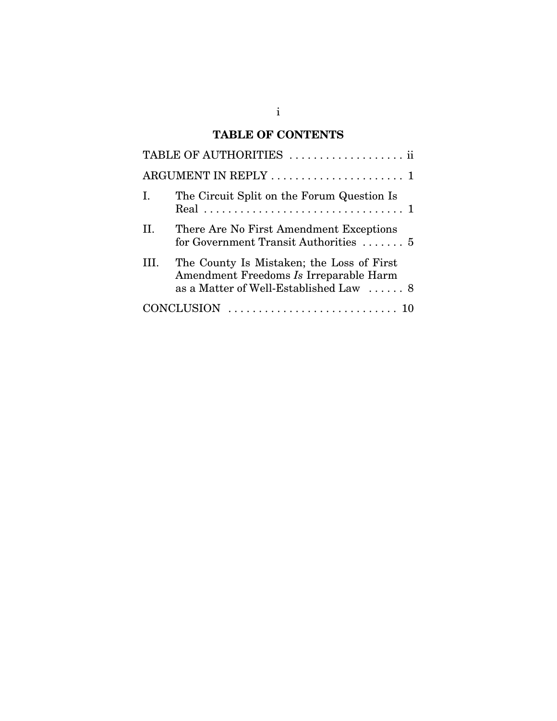# **TABLE OF CONTENTS**

|                   | TABLE OF AUTHORITIES  ii                                                                                                      |
|-------------------|-------------------------------------------------------------------------------------------------------------------------------|
|                   |                                                                                                                               |
| Ι.                | The Circuit Split on the Forum Question Is                                                                                    |
| H.                | There Are No First Amendment Exceptions<br>for Government Transit Authorities  5                                              |
| HL.               | The County Is Mistaken; the Loss of First<br>Amendment Freedoms Is Irreparable Harm<br>as a Matter of Well-Established Law  8 |
| <b>CONCLUSION</b> |                                                                                                                               |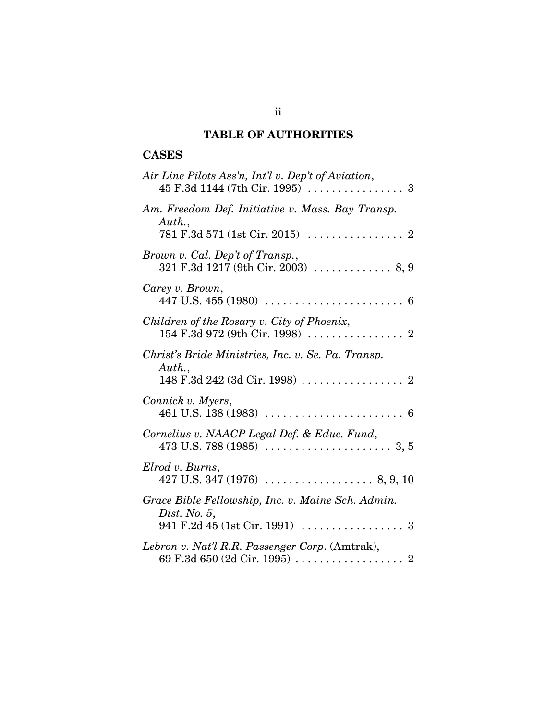# **TABLE OF AUTHORITIES**

## **CASES**

| Air Line Pilots Ass'n, Int'l v. Dep't of Aviation,                                                                   |
|----------------------------------------------------------------------------------------------------------------------|
| Am. Freedom Def. Initiative v. Mass. Bay Transp.<br>Author.,                                                         |
| $781 \text{ F.}3d \text{ }571 \text{ } (\text{1st Cir. } 2015) \text{ } \dots \dots \dots \dots \dots \dots \dots 2$ |
| Brown v. Cal. Dep't of Transp.,                                                                                      |
| Carey v. Brown,                                                                                                      |
| Children of the Rosary v. City of Phoenix,                                                                           |
| Christ's Bride Ministries, Inc. v. Se. Pa. Transp.                                                                   |
| Auth.,                                                                                                               |
| Connick v. Myers,                                                                                                    |
| Cornelius v. NAACP Legal Def. & Educ. Fund,                                                                          |
| Elrod v. Burns,                                                                                                      |
| Grace Bible Fellowship, Inc. v. Maine Sch. Admin.                                                                    |
| Dist. No. $5$ ,                                                                                                      |
| Lebron v. Nat'l R.R. Passenger Corp. (Amtrak),                                                                       |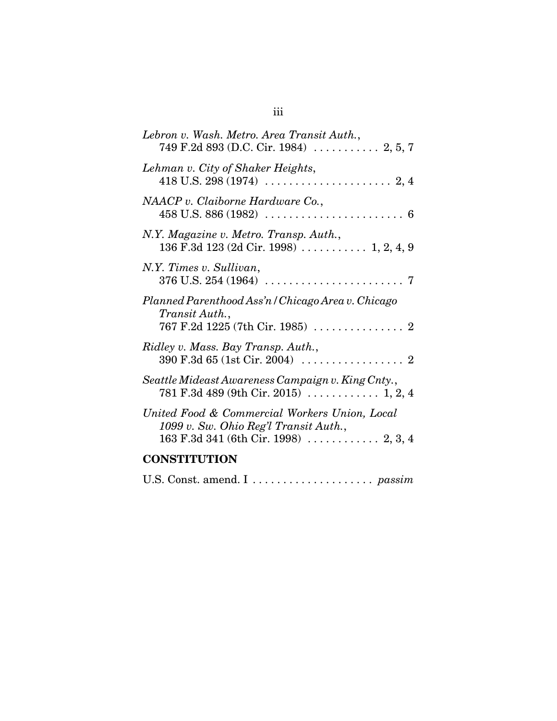| Lebron v. Wash. Metro. Area Transit Auth.,                                                                                               |  |
|------------------------------------------------------------------------------------------------------------------------------------------|--|
| Lehman v. City of Shaker Heights,                                                                                                        |  |
| NAACP v. Claiborne Hardware Co.,                                                                                                         |  |
| N.Y. Magazine v. Metro. Transp. Auth.,<br>136 F.3d 123 (2d Cir. 1998) $\ldots$ 1, 2, 4, 9                                                |  |
| N.Y. Times v. Sullivan,                                                                                                                  |  |
| Planned Parenthood Ass'n / Chicago Area v. Chicago<br>Transit Auth.,                                                                     |  |
| Ridley v. Mass. Bay Transp. Auth.,<br>$390 \text{ F}.3d \text{ 65} \text{ (1st Cir. } 2004) \dots \dots \dots \dots \dots \dots \dots 2$ |  |
| Seattle Mideast Awareness Campaign v. King Cnty.,                                                                                        |  |
| United Food & Commercial Workers Union, Local<br>1099 v. Sw. Ohio Reg'l Transit Auth.,<br>$163$ F.3d 341 (6th Cir. 1998)  2, 3, 4        |  |
| <b>CONSTITUTION</b>                                                                                                                      |  |
| U.S. Const. amend. I  passim                                                                                                             |  |

iii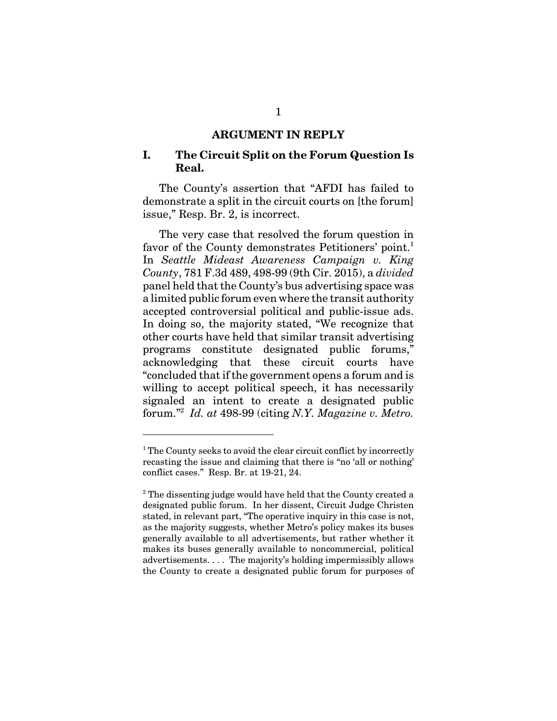#### **ARGUMENT IN REPLY**

#### **I. The Circuit Split on the Forum Question Is Real.**

The County's assertion that "AFDI has failed to demonstrate a split in the circuit courts on [the forum] issue," Resp. Br. 2, is incorrect.

The very case that resolved the forum question in favor of the County demonstrates Petitioners' point.<sup>1</sup> In *Seattle Mideast Awareness Campaign v. King County*, 781 F.3d 489, 498-99 (9th Cir. 2015), a *divided* panel held that the County's bus advertising space was a limited public forum even where the transit authority accepted controversial political and public-issue ads. In doing so, the majority stated, "We recognize that other courts have held that similar transit advertising programs constitute designated public forums," acknowledging that these circuit courts have "concluded that if the government opens a forum and is willing to accept political speech, it has necessarily signaled an intent to create a designated public forum."<sup>2</sup> *Id. at* 498-99 (citing *N.Y. Magazine v. Metro.*

<sup>&</sup>lt;sup>1</sup> The County seeks to avoid the clear circuit conflict by incorrectly recasting the issue and claiming that there is "no 'all or nothing' conflict cases." Resp. Br. at 19-21, 24.

<sup>&</sup>lt;sup>2</sup> The dissenting judge would have held that the County created a designated public forum. In her dissent, Circuit Judge Christen stated, in relevant part, "The operative inquiry in this case is not, as the majority suggests, whether Metro's policy makes its buses generally available to all advertisements, but rather whether it makes its buses generally available to noncommercial, political advertisements. . . . The majority's holding impermissibly allows the County to create a designated public forum for purposes of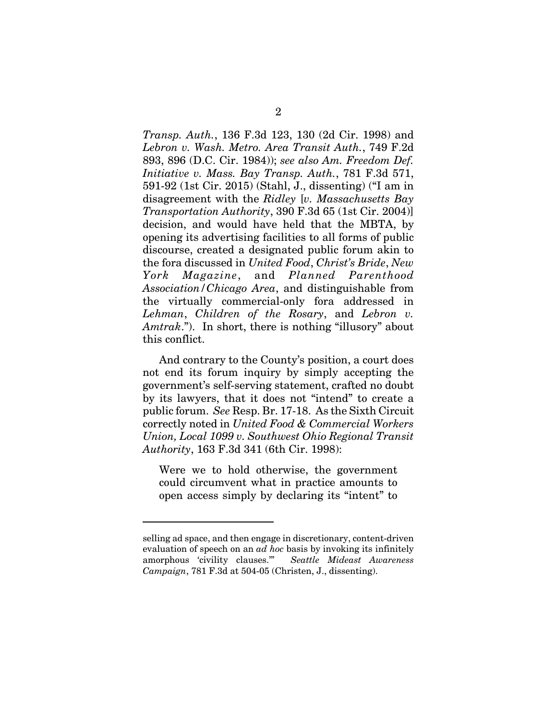*Transp. Auth.*, 136 F.3d 123, 130 (2d Cir. 1998) and *Lebron v. Wash. Metro. Area Transit Auth.*, 749 F.2d 893, 896 (D.C. Cir. 1984)); *see also Am. Freedom Def. Initiative v. Mass. Bay Transp. Auth.*, 781 F.3d 571, 591-92 (1st Cir. 2015) (Stahl, J., dissenting) ("I am in disagreement with the *Ridley* [*v. Massachusetts Bay Transportation Authority*, 390 F.3d 65 (1st Cir. 2004)] decision, and would have held that the MBTA, by opening its advertising facilities to all forms of public discourse, created a designated public forum akin to the fora discussed in *United Food*, *Christ's Bride*, *New York Magazine*, and *Planned Parenthood Association/Chicago Area*, and distinguishable from the virtually commercial-only fora addressed in *Lehman*, *Children of the Rosary*, and *Lebron v. Amtrak*."). In short, there is nothing "illusory" about this conflict.

And contrary to the County's position, a court does not end its forum inquiry by simply accepting the government's self-serving statement, crafted no doubt by its lawyers, that it does not "intend" to create a public forum. *See* Resp. Br. 17-18. As the Sixth Circuit correctly noted in *United Food & Commercial Workers Union, Local 1099 v. Southwest Ohio Regional Transit Authority*, 163 F.3d 341 (6th Cir. 1998):

Were we to hold otherwise, the government could circumvent what in practice amounts to open access simply by declaring its "intent" to

selling ad space, and then engage in discretionary, content-driven evaluation of speech on an *ad hoc* basis by invoking its infinitely amorphous 'civility clauses.'" *Seattle Mideast Awareness Campaign*, 781 F.3d at 504-05 (Christen, J., dissenting).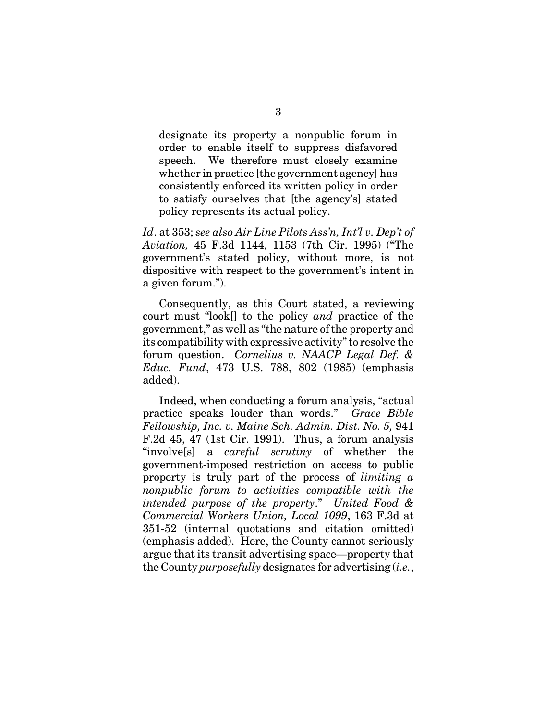designate its property a nonpublic forum in order to enable itself to suppress disfavored speech. We therefore must closely examine whether in practice [the government agency] has consistently enforced its written policy in order to satisfy ourselves that [the agency's] stated policy represents its actual policy.

*Id*. at 353; *see also Air Line Pilots Ass'n, Int'l v. Dep't of Aviation,* 45 F.3d 1144, 1153 (7th Cir. 1995) ("The government's stated policy, without more, is not dispositive with respect to the government's intent in a given forum.").

Consequently, as this Court stated, a reviewing court must "look[] to the policy *and* practice of the government," as well as "the nature of the property and its compatibility with expressive activity" to resolve the forum question. *Cornelius v. NAACP Legal Def. & Educ. Fund*, 473 U.S. 788, 802 (1985) (emphasis added).

Indeed, when conducting a forum analysis, "actual practice speaks louder than words." *Grace Bible Fellowship, Inc. v. Maine Sch. Admin. Dist. No. 5,* 941 F.2d 45, 47 (1st Cir. 1991). Thus, a forum analysis "involve[s] a *careful scrutiny* of whether the government-imposed restriction on access to public property is truly part of the process of *limiting a nonpublic forum to activities compatible with the intended purpose of the property*." *United Food & Commercial Workers Union, Local 1099*, 163 F.3d at 351-52 (internal quotations and citation omitted) (emphasis added). Here, the County cannot seriously argue that its transit advertising space—property that the County *purposefully* designates for advertising (*i.e.*,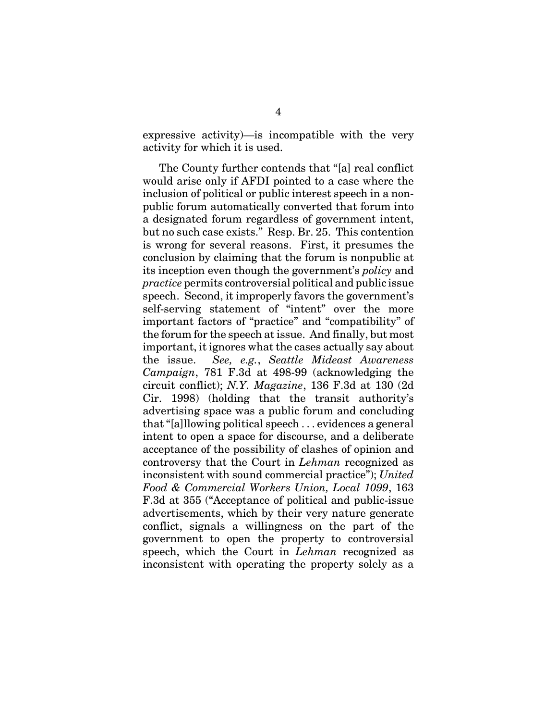expressive activity)—is incompatible with the very activity for which it is used.

The County further contends that "[a] real conflict would arise only if AFDI pointed to a case where the inclusion of political or public interest speech in a nonpublic forum automatically converted that forum into a designated forum regardless of government intent, but no such case exists." Resp. Br. 25. This contention is wrong for several reasons. First, it presumes the conclusion by claiming that the forum is nonpublic at its inception even though the government's *policy* and *practice* permits controversial political and public issue speech. Second, it improperly favors the government's self-serving statement of "intent" over the more important factors of "practice" and "compatibility" of the forum for the speech at issue. And finally, but most important, it ignores what the cases actually say about the issue. *See, e.g.*, *Seattle Mideast Awareness Campaign*, 781 F.3d at 498-99 (acknowledging the circuit conflict); *N.Y. Magazine*, 136 F.3d at 130 (2d Cir. 1998) (holding that the transit authority's advertising space was a public forum and concluding that "[a]llowing political speech . . . evidences a general intent to open a space for discourse, and a deliberate acceptance of the possibility of clashes of opinion and controversy that the Court in *Lehman* recognized as inconsistent with sound commercial practice"); *United Food & Commercial Workers Union, Local 1099*, 163 F.3d at 355 ("Acceptance of political and public-issue advertisements, which by their very nature generate conflict, signals a willingness on the part of the government to open the property to controversial speech, which the Court in *Lehman* recognized as inconsistent with operating the property solely as a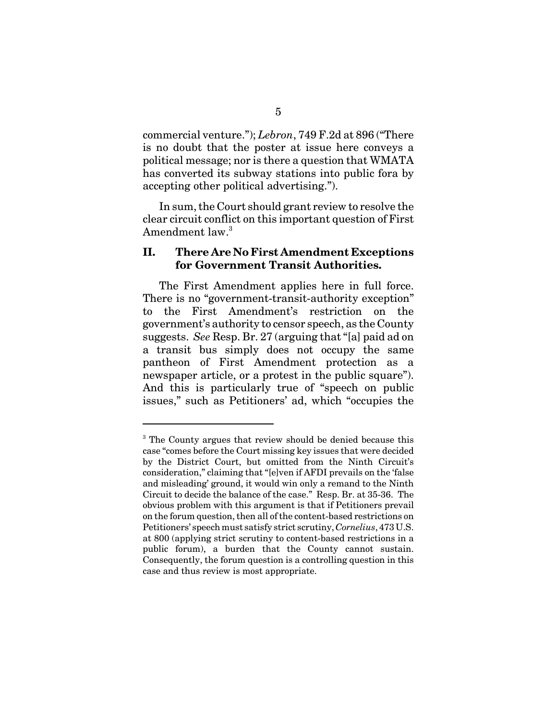commercial venture."); *Lebron*, 749 F.2d at 896 ("There is no doubt that the poster at issue here conveys a political message; nor is there a question that WMATA has converted its subway stations into public fora by accepting other political advertising.").

In sum, the Court should grant review to resolve the clear circuit conflict on this important question of First Amendment law.<sup>3</sup>

#### **II. There Are No First Amendment Exceptions for Government Transit Authorities.**

The First Amendment applies here in full force. There is no "government-transit-authority exception" to the First Amendment's restriction on the government's authority to censor speech, as the County suggests. *See* Resp. Br. 27 (arguing that "[a] paid ad on a transit bus simply does not occupy the same pantheon of First Amendment protection as a newspaper article, or a protest in the public square"). And this is particularly true of "speech on public issues," such as Petitioners' ad, which "occupies the

<sup>&</sup>lt;sup>3</sup> The County argues that review should be denied because this case "comes before the Court missing key issues that were decided by the District Court, but omitted from the Ninth Circuit's consideration," claiming that "[e]ven if AFDI prevails on the 'false and misleading' ground, it would win only a remand to the Ninth Circuit to decide the balance of the case." Resp. Br. at 35-36. The obvious problem with this argument is that if Petitioners prevail on the forum question, then all of the content-based restrictions on Petitioners' speech must satisfy strict scrutiny, *Cornelius*, 473 U.S. at 800 (applying strict scrutiny to content-based restrictions in a public forum), a burden that the County cannot sustain. Consequently, the forum question is a controlling question in this case and thus review is most appropriate.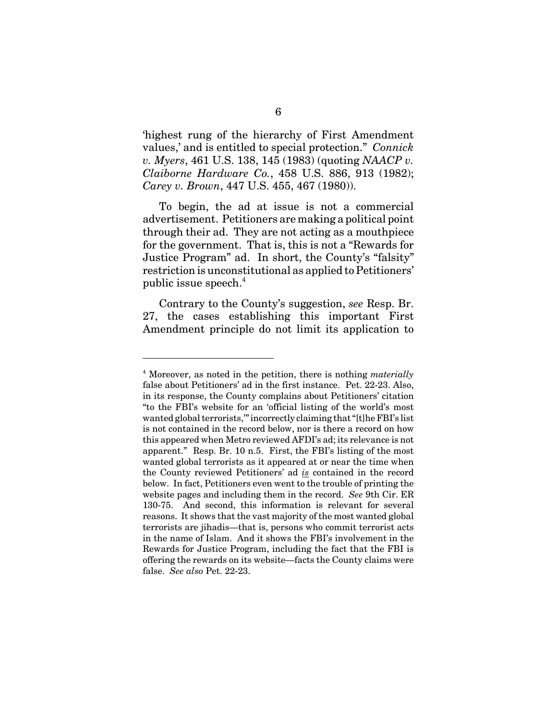'highest rung of the hierarchy of First Amendment values,' and is entitled to special protection." *Connick v. Myers*, 461 U.S. 138, 145 (1983) (quoting *NAACP v. Claiborne Hardware Co.*, 458 U.S. 886, 913 (1982); *Carey v. Brown*, 447 U.S. 455, 467 (1980)).

To begin, the ad at issue is not a commercial advertisement. Petitioners are making a political point through their ad. They are not acting as a mouthpiece for the government. That is, this is not a "Rewards for Justice Program" ad. In short, the County's "falsity" restriction is unconstitutional as applied to Petitioners' public issue speech.<sup>4</sup>

Contrary to the County's suggestion, *see* Resp. Br. 27, the cases establishing this important First Amendment principle do not limit its application to

<sup>4</sup> Moreover, as noted in the petition, there is nothing *materially* false about Petitioners' ad in the first instance. Pet. 22-23. Also, in its response, the County complains about Petitioners' citation "to the FBI's website for an 'official listing of the world's most wanted global terrorists,'" incorrectly claiming that "[t]he FBI's list is not contained in the record below, nor is there a record on how this appeared when Metro reviewed AFDI's ad; its relevance is not apparent." Resp. Br. 10 n.5. First, the FBI's listing of the most wanted global terrorists as it appeared at or near the time when the County reviewed Petitioners' ad *is* contained in the record below. In fact, Petitioners even went to the trouble of printing the website pages and including them in the record. *See* 9th Cir. ER 130-75. And second, this information is relevant for several reasons. It shows that the vast majority of the most wanted global terrorists are jihadis—that is, persons who commit terrorist acts in the name of Islam. And it shows the FBI's involvement in the Rewards for Justice Program, including the fact that the FBI is offering the rewards on its website—facts the County claims were false. *See also* Pet. 22-23.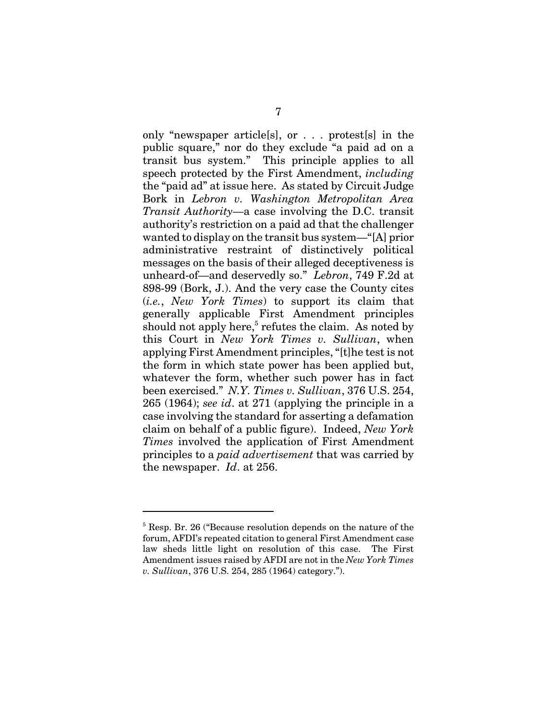only "newspaper article[s], or . . . protest[s] in the public square," nor do they exclude "a paid ad on a transit bus system." This principle applies to all speech protected by the First Amendment, *including* the "paid ad" at issue here. As stated by Circuit Judge Bork in *Lebron v. Washington Metropolitan Area Transit Authority*—a case involving the D.C. transit authority's restriction on a paid ad that the challenger wanted to display on the transit bus system—"[A] prior administrative restraint of distinctively political messages on the basis of their alleged deceptiveness is unheard-of—and deservedly so." *Lebron*, 749 F.2d at 898-99 (Bork, J.). And the very case the County cites (*i.e.*, *New York Times*) to support its claim that generally applicable First Amendment principles should not apply here,<sup>5</sup> refutes the claim. As noted by this Court in *New York Times v. Sullivan*, when applying First Amendment principles, "[t]he test is not the form in which state power has been applied but, whatever the form, whether such power has in fact been exercised." *N.Y. Times v. Sullivan*, 376 U.S. 254, 265 (1964); *see id*. at 271 (applying the principle in a case involving the standard for asserting a defamation claim on behalf of a public figure). Indeed, *New York Times* involved the application of First Amendment principles to a *paid advertisement* that was carried by the newspaper. *Id*. at 256.

<sup>&</sup>lt;sup>5</sup> Resp. Br. 26 ("Because resolution depends on the nature of the forum, AFDI's repeated citation to general First Amendment case law sheds little light on resolution of this case. The First Amendment issues raised by AFDI are not in the *New York Times v. Sullivan*, 376 U.S. 254, 285 (1964) category.").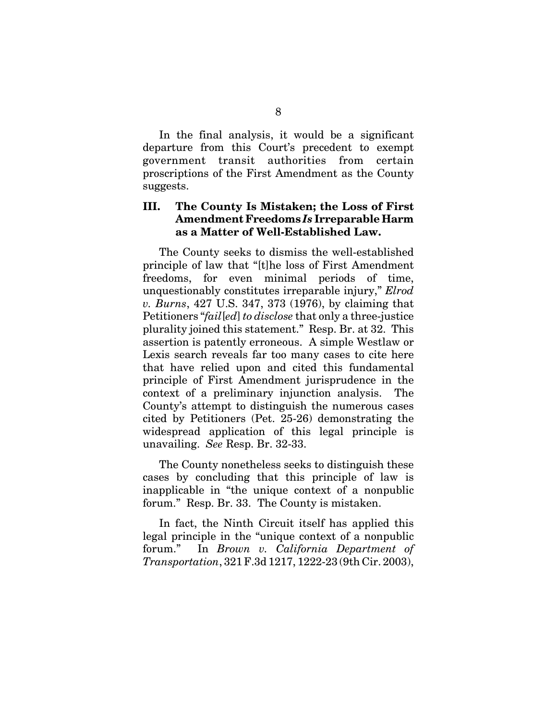In the final analysis, it would be a significant departure from this Court's precedent to exempt government transit authorities from certain proscriptions of the First Amendment as the County suggests.

#### **III. The County Is Mistaken; the Loss of First Amendment Freedoms** *Is* **Irreparable Harm as a Matter of Well-Established Law.**

The County seeks to dismiss the well-established principle of law that "[t]he loss of First Amendment freedoms, for even minimal periods of time, unquestionably constitutes irreparable injury," *Elrod v. Burns*, 427 U.S. 347, 373 (1976), by claiming that Petitioners "*fail*[*ed*] *to disclose* that only a three-justice plurality joined this statement." Resp. Br. at 32. This assertion is patently erroneous. A simple Westlaw or Lexis search reveals far too many cases to cite here that have relied upon and cited this fundamental principle of First Amendment jurisprudence in the context of a preliminary injunction analysis. The County's attempt to distinguish the numerous cases cited by Petitioners (Pet. 25-26) demonstrating the widespread application of this legal principle is unavailing. *See* Resp. Br. 32-33.

The County nonetheless seeks to distinguish these cases by concluding that this principle of law is inapplicable in "the unique context of a nonpublic forum." Resp. Br. 33. The County is mistaken.

In fact, the Ninth Circuit itself has applied this legal principle in the "unique context of a nonpublic forum." In *Brown v. California Department of Transportation*, 321 F.3d 1217, 1222-23 (9th Cir. 2003),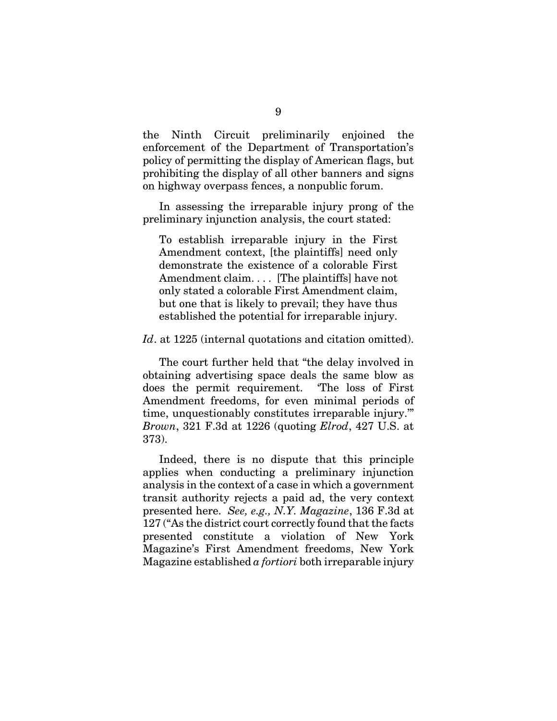the Ninth Circuit preliminarily enjoined the enforcement of the Department of Transportation's policy of permitting the display of American flags, but prohibiting the display of all other banners and signs on highway overpass fences, a nonpublic forum.

In assessing the irreparable injury prong of the preliminary injunction analysis, the court stated:

To establish irreparable injury in the First Amendment context, [the plaintiffs] need only demonstrate the existence of a colorable First Amendment claim. . . . [The plaintiffs] have not only stated a colorable First Amendment claim, but one that is likely to prevail; they have thus established the potential for irreparable injury.

Id. at 1225 (internal quotations and citation omitted).

The court further held that "the delay involved in obtaining advertising space deals the same blow as does the permit requirement. 'The loss of First Amendment freedoms, for even minimal periods of time, unquestionably constitutes irreparable injury.'" *Brown*, 321 F.3d at 1226 (quoting *Elrod*, 427 U.S. at 373).

Indeed, there is no dispute that this principle applies when conducting a preliminary injunction analysis in the context of a case in which a government transit authority rejects a paid ad, the very context presented here. *See, e.g., N.Y. Magazine*, 136 F.3d at 127 ("As the district court correctly found that the facts presented constitute a violation of New York Magazine's First Amendment freedoms, New York Magazine established *a fortiori* both irreparable injury